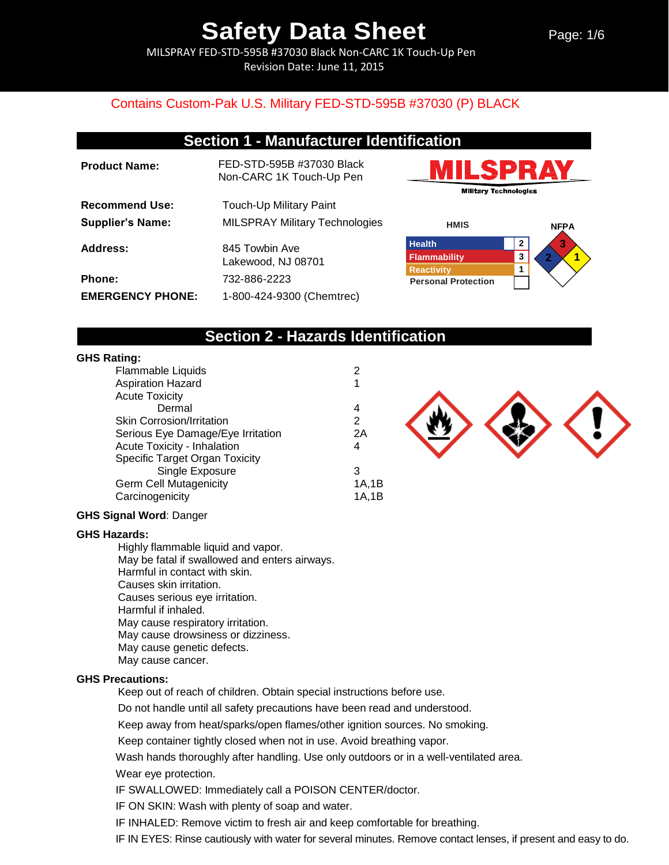Page: 1/6

MILSPRAY FED-STD-595B #37030 Black Non-CARC 1K Touch-Up Pen Revision Date: June 11, 2015

## Contains Custom-Pak U.S. Military FED-STD-595B #37030 (P) BLACK

## **Section 1 - Manufacturer Identification**

| <b>Product Name:</b>    | FED-STD-595B #37030 Black<br>Non-CARC 1K Touch-Up Pen |
|-------------------------|-------------------------------------------------------|
| <b>Recommend Use:</b>   | Touch-Up Military Paint                               |
| <b>Supplier's Name:</b> | <b>MILSPRAY Military Technologies</b>                 |
| Address:                | 845 Towbin Ave<br>Lakewood, NJ 08701                  |
| Phone:                  | 732-886-2223                                          |
| <b>EMERGENCY PHONE:</b> | 1-800-424-9300 (Chemtrec)                             |





## **Section 2 - Hazards Identification**

#### **GHS Rating:**

| .                                  |       |
|------------------------------------|-------|
| <b>Flammable Liquids</b>           | 2     |
| <b>Aspiration Hazard</b>           |       |
| <b>Acute Toxicity</b>              |       |
| Dermal                             | 4     |
| <b>Skin Corrosion/Irritation</b>   | 2     |
| Serious Eye Damage/Eye Irritation  | 2A    |
| <b>Acute Toxicity - Inhalation</b> | 4     |
| Specific Target Organ Toxicity     |       |
| Single Exposure                    | 3     |
| <b>Germ Cell Mutagenicity</b>      | 1A,1B |
| Carcinogenicity                    | 1A.1B |
|                                    |       |



#### **GHS Signal Word**: Danger

#### **GHS Hazards:**

Highly flammable liquid and vapor. May be fatal if swallowed and enters airways. Harmful in contact with skin. Causes skin irritation. Causes serious eye irritation. Harmful if inhaled. May cause respiratory irritation. May cause drowsiness or dizziness. May cause genetic defects. May cause cancer.

#### **GHS Precautions:**

Keep out of reach of children. Obtain special instructions before use.

Do not handle until all safety precautions have been read and understood.

Keep away from heat/sparks/open flames/other ignition sources. No smoking.

Keep container tightly closed when not in use. Avoid breathing vapor.

Wash hands thoroughly after handling. Use only outdoors or in a well-ventilated area.

Wear eye protection.

IF SWALLOWED: Immediately call a POISON CENTER/doctor.

IF ON SKIN: Wash with plenty of soap and water.

IF INHALED: Remove victim to fresh air and keep comfortable for breathing.

IF IN EYES: Rinse cautiously with water for several minutes. Remove contact lenses, if present and easy to do.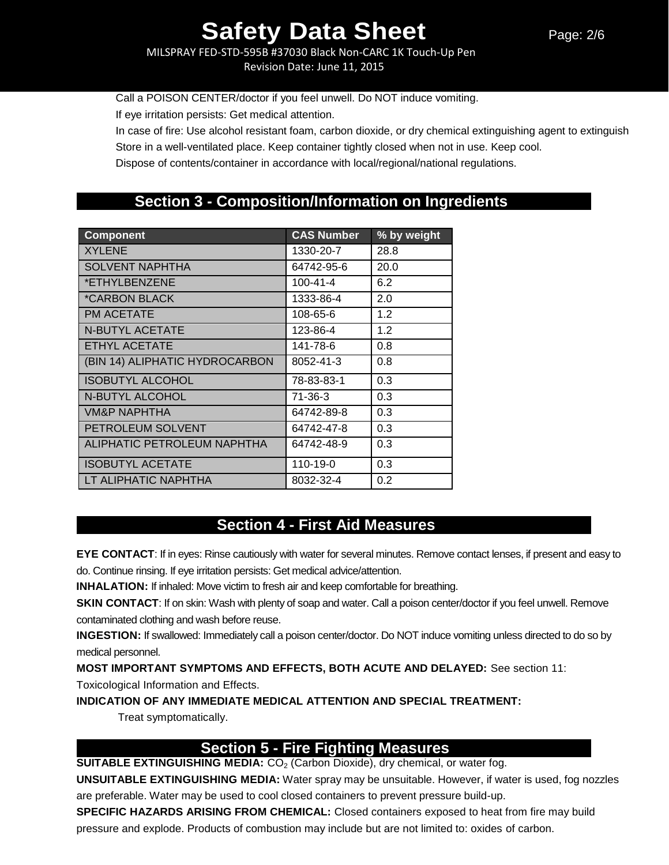MILSPRAY FED-STD-595B #37030 Black Non-CARC 1K Touch-Up Pen Revision Date: June 11, 2015

Call a POISON CENTER/doctor if you feel unwell. Do NOT induce vomiting.

If eye irritation persists: Get medical attention.

In case of fire: Use alcohol resistant foam, carbon dioxide, or dry chemical extinguishing agent to extinguish

Store in a well-ventilated place. Keep container tightly closed when not in use. Keep cool.

Dispose of contents/container in accordance with local/regional/national regulations.

## **Section 3 - Composition/Information on Ingredients**

| <b>Component</b>               | <b>CAS Number</b> | % by weight |
|--------------------------------|-------------------|-------------|
| <b>XYLENE</b>                  | 1330-20-7         | 28.8        |
| <b>SOLVENT NAPHTHA</b>         | 64742-95-6        | 20.0        |
| *ETHYLBENZENE                  | $100 - 41 - 4$    | 6.2         |
| <i><b>*CARBON BLACK</b></i>    | 1333-86-4         | 2.0         |
| PM ACETATE                     | 108-65-6          | 1.2         |
| <b>N-BUTYL ACETATE</b>         | 123-86-4          | 1.2         |
| <b>ETHYL ACETATE</b>           | 141-78-6          | 0.8         |
| (BIN 14) ALIPHATIC HYDROCARBON | 8052-41-3         | 0.8         |
| <b>ISOBUTYL ALCOHOL</b>        | 78-83-83-1        | 0.3         |
| N-BUTYL ALCOHOL                | $71 - 36 - 3$     | 0.3         |
| <b>VM&amp;P NAPHTHA</b>        | 64742-89-8        | 0.3         |
| PETROLEUM SOLVENT              | 64742-47-8        | 0.3         |
| ALIPHATIC PETROLEUM NAPHTHA    | 64742-48-9        | 0.3         |
| <b>ISOBUTYL ACETATE</b>        | 110-19-0          | 0.3         |
| LT ALIPHATIC NAPHTHA           | 8032-32-4         | 0.2         |

## **Section 4 - First Aid Measures**

**EYE CONTACT**: If in eyes: Rinse cautiously with water for several minutes. Remove contact lenses, if present and easy to do. Continue rinsing. If eye irritation persists: Get medical advice/attention.

**INHALATION:** If inhaled: Move victim to fresh air and keep comfortable for breathing.

**SKIN CONTACT**: If on skin: Wash with plenty of soap and water. Call a poison center/doctor if you feel unwell. Remove contaminated clothing and wash before reuse.

**INGESTION:** If swallowed: Immediately call a poison center/doctor. Do NOT induce vomiting unless directed to do so by medical personnel.

**MOST IMPORTANT SYMPTOMS AND EFFECTS, BOTH ACUTE AND DELAYED:** See section 11:

Toxicological Information and Effects.

**INDICATION OF ANY IMMEDIATE MEDICAL ATTENTION AND SPECIAL TREATMENT:**

Treat symptomatically.

## **Section 5 - Fire Fighting Measures**

**SUITABLE EXTINGUISHING MEDIA:** CO<sub>2</sub> (Carbon Dioxide), dry chemical, or water fog.

**UNSUITABLE EXTINGUISHING MEDIA:** Water spray may be unsuitable. However, if water is used, fog nozzles are preferable. Water may be used to cool closed containers to prevent pressure build-up.

**SPECIFIC HAZARDS ARISING FROM CHEMICAL:** Closed containers exposed to heat from fire may build pressure and explode. Products of combustion may include but are not limited to: oxides of carbon.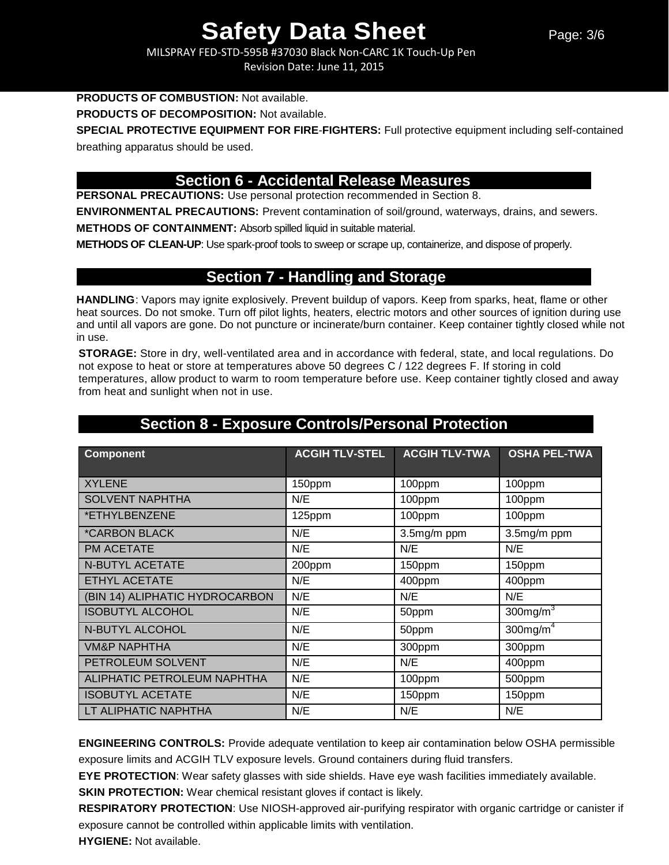MILSPRAY FED-STD-595B #37030 Black Non-CARC 1K Touch-Up Pen Revision Date: June 11, 2015

### **PRODUCTS OF COMBUSTION:** Not available.

**PRODUCTS OF DECOMPOSITION:** Not available.

**SPECIAL PROTECTIVE EQUIPMENT FOR FIRE**-**FIGHTERS:** Full protective equipment including self-contained breathing apparatus should be used.

## **Section 6 - Accidental Release Measures**

**PERSONAL PRECAUTIONS:** Use personal protection recommended in Section 8.

**ENVIRONMENTAL PRECAUTIONS:** Prevent contamination of soil/ground, waterways, drains, and sewers.

**METHODS OF CONTAINMENT:** Absorb spilled liquid in suitable material.

**METHODS OF CLEAN-UP**: Use spark-proof tools to sweep or scrape up, containerize, and dispose of properly.

## **Section 7 - Handling and Storage**

**HANDLING**: Vapors may ignite explosively. Prevent buildup of vapors. Keep from sparks, heat, flame or other heat sources. Do not smoke. Turn off pilot lights, heaters, electric motors and other sources of ignition during use and until all vapors are gone. Do not puncture or incinerate/burn container. Keep container tightly closed while not in use.

**STORAGE:** Store in dry, well-ventilated area and in accordance with federal, state, and local regulations. Do not expose to heat or store at temperatures above 50 degrees C / 122 degrees F. If storing in cold temperatures, allow product to warm to room temperature before use. Keep container tightly closed and away from heat and sunlight when not in use.

| <b>Component</b>               | <b>ACGIH TLV-STEL</b> | <b>ACGIH TLV-TWA</b> | <b>OSHA PEL-TWA</b>     |
|--------------------------------|-----------------------|----------------------|-------------------------|
| <b>XYLENE</b>                  | 150ppm                | 100ppm               | 100ppm                  |
| <b>SOLVENT NAPHTHA</b>         | N/E                   | 100ppm               | 100ppm                  |
| *ETHYLBENZENE                  | 125ppm                | 100ppm               | 100ppm                  |
| <i><b>*CARBON BLACK</b></i>    | N/E                   | 3.5mg/m ppm          | 3.5mg/m ppm             |
| PM ACETATE                     | N/E                   | N/E                  | N/E                     |
| <b>N-BUTYL ACETATE</b>         | 200ppm                | 150ppm               | 150ppm                  |
| <b>ETHYL ACETATE</b>           | N/E                   | 400ppm               | 400ppm                  |
| (BIN 14) ALIPHATIC HYDROCARBON | N/E                   | N/E                  | N/E                     |
| <b>ISOBUTYL ALCOHOL</b>        | N/E                   | 50ppm                | $300$ mg/m $3$          |
| N-BUTYL ALCOHOL                | N/E                   | 50ppm                | $300$ mg/m <sup>4</sup> |
| <b>VM&amp;P NAPHTHA</b>        | N/E                   | 300ppm               | 300ppm                  |
| PETROLEUM SOLVENT              | N/E                   | N/E                  | 400ppm                  |
| ALIPHATIC PETROLEUM NAPHTHA    | N/E                   | 100ppm               | 500ppm                  |
| <b>ISOBUTYL ACETATE</b>        | N/E                   | 150ppm               | 150ppm                  |
| LT ALIPHATIC NAPHTHA           | N/E                   | N/E                  | N/E                     |

## **Section 8 - Exposure Controls/Personal Protection**

**ENGINEERING CONTROLS:** Provide adequate ventilation to keep air contamination below OSHA permissible exposure limits and ACGIH TLV exposure levels. Ground containers during fluid transfers.

**EYE PROTECTION**: Wear safety glasses with side shields. Have eye wash facilities immediately available.

**SKIN PROTECTION:** Wear chemical resistant gloves if contact is likely.

**RESPIRATORY PROTECTION**: Use NIOSH-approved air-purifying respirator with organic cartridge or canister if exposure cannot be controlled within applicable limits with ventilation.

**HYGIENE:** Not available.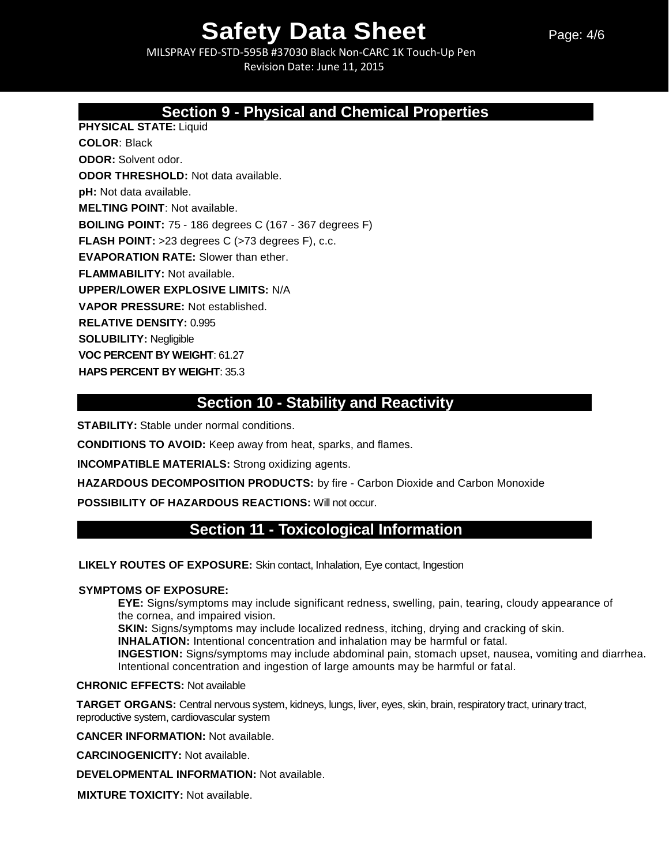Page: 4/6

MILSPRAY FED-STD-595B #37030 Black Non-CARC 1K Touch-Up Pen Revision Date: June 11, 2015

## **Section 9 - Physical and Chemical Properties**

**PHYSICAL STATE:** Liquid

**COLOR**: Black **ODOR:** Solvent odor. **ODOR THRESHOLD:** Not data available. **pH:** Not data available. **MELTING POINT**: Not available. **BOILING POINT:** 75 - 186 degrees C (167 - 367 degrees F) **FLASH POINT:** >23 degrees C (>73 degrees F), c.c. **EVAPORATION RATE:** Slower than ether. **FLAMMABILITY:** Not available. **UPPER/LOWER EXPLOSIVE LIMITS:** N/A **VAPOR PRESSURE:** Not established. **RELATIVE DENSITY:** 0.995 **SOLUBILITY:** Negligible **VOC PERCENT BY WEIGHT**: 61.27

**HAPS PERCENT BY WEIGHT**: 35.3

## **Section 10 - Stability and Reactivity**

**STABILITY:** Stable under normal conditions.

**CONDITIONS TO AVOID:** Keep away from heat, sparks, and flames.

**INCOMPATIBLE MATERIALS:** Strong oxidizing agents.

**HAZARDOUS DECOMPOSITION PRODUCTS:** by fire - Carbon Dioxide and Carbon Monoxide

**POSSIBILITY OF HAZARDOUS REACTIONS:** Will not occur.

## **Section 11 - Toxicological Information**

**LIKELY ROUTES OF EXPOSURE:** Skin contact, Inhalation, Eye contact, Ingestion

#### **SYMPTOMS OF EXPOSURE:**

**EYE:** Signs/symptoms may include significant redness, swelling, pain, tearing, cloudy appearance of the cornea, and impaired vision.

**SKIN:** Signs/symptoms may include localized redness, itching, drying and cracking of skin.

**INHALATION:** Intentional concentration and inhalation may be harmful or fatal.

**INGESTION:** Signs/symptoms may include abdominal pain, stomach upset, nausea, vomiting and diarrhea. Intentional concentration and ingestion of large amounts may be harmful or fatal.

#### **CHRONIC EFFECTS:** Not available

**TARGET ORGANS:** Central nervous system, kidneys, lungs, liver, eyes, skin, brain, respiratory tract, urinary tract, reproductive system, cardiovascular system

**CANCER INFORMATION:** Not available.

**CARCINOGENICITY:** Not available.

**DEVELOPMENTAL INFORMATION:** Not available.

**MIXTURE TOXICITY:** Not available.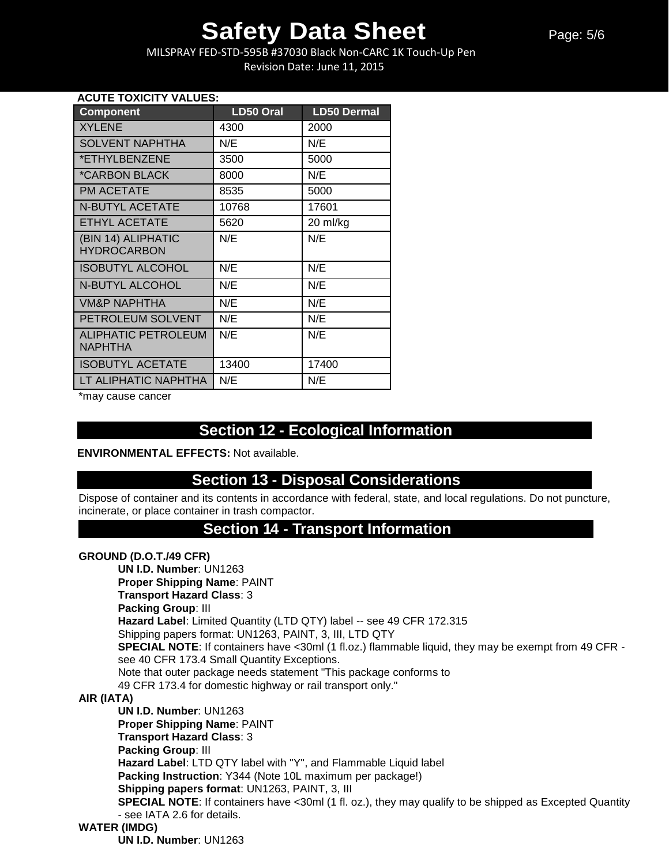MILSPRAY FED-STD-595B #37030 Black Non-CARC 1K Touch-Up Pen Revision Date: June 11, 2015

#### **ACUTE TOXICITY VALUES:**

| <b>Component</b>            | <b>LD50 Oral</b> | <b>LD50 Dermal</b> |
|-----------------------------|------------------|--------------------|
| <b>XYLENE</b>               | 4300             | 2000               |
| <b>SOLVENT NAPHTHA</b>      | N/E              | N/E                |
| *ETHYLBENZENE               | 3500             | 5000               |
| <i><b>*CARBON BLACK</b></i> | 8000             | N/E                |
| <b>PM ACETATE</b>           | 8535             | 5000               |
| <b>N-BUTYL ACETATE</b>      | 10768            | 17601              |
| <b>ETHYL ACETATE</b>        | 5620             | 20 ml/kg           |
| (BIN 14) ALIPHATIC          | N/E              | N/E                |
| <b>HYDROCARBON</b>          |                  |                    |
| <b>ISOBUTYL ALCOHOL</b>     | N/E              | N/E                |
| <b>N-BUTYL ALCOHOL</b>      | N/E              | N/E                |
| <b>VM&amp;P NAPHTHA</b>     | N/E              | N/E                |
| PETROLEUM SOLVENT           | N/E              | N/E                |
| <b>ALIPHATIC PETROLEUM</b>  | N/E              | N/E                |
| <b>NAPHTHA</b>              |                  |                    |
| <b>ISOBUTYL ACETATE</b>     | 13400            | 17400              |
| LT ALIPHATIC NAPHTHA        | N/E              | N/E                |

\*may cause cancer

## **Section 12 - Ecological Information**

**ENVIRONMENTAL EFFECTS:** Not available.

## **Section 13 - Disposal Considerations**

Dispose of container and its contents in accordance with federal, state, and local regulations. Do not puncture, incinerate, or place container in trash compactor.

### **Section 14 - Transport Information**

#### **GROUND (D.O.T./49 CFR)**

**UN I.D. Number**: UN1263 **Proper Shipping Name**: PAINT **Transport Hazard Class**: 3 **Packing Group**: III **Hazard Label**: Limited Quantity (LTD QTY) label -- see 49 CFR 172.315 Shipping papers format: UN1263, PAINT, 3, III, LTD QTY **SPECIAL NOTE:** If containers have <30ml (1 fl.oz.) flammable liquid, they may be exempt from 49 CFR see 40 CFR 173.4 Small Quantity Exceptions. Note that outer package needs statement "This package conforms to 49 CFR 173.4 for domestic highway or rail transport only." **AIR (IATA) UN I.D. Number**: UN1263 **Proper Shipping Name**: PAINT **Transport Hazard Class**: 3 **Packing Group**: III **Hazard Label**: LTD QTY label with "Y", and Flammable Liquid label **Packing Instruction**: Y344 (Note 10L maximum per package!)

**Shipping papers format**: UN1263, PAINT, 3, III

**SPECIAL NOTE:** If containers have <30ml (1 fl. oz.), they may qualify to be shipped as Excepted Quantity - see IATA 2.6 for details.

#### **WATER (IMDG)**

**UN I.D. Number**: UN1263